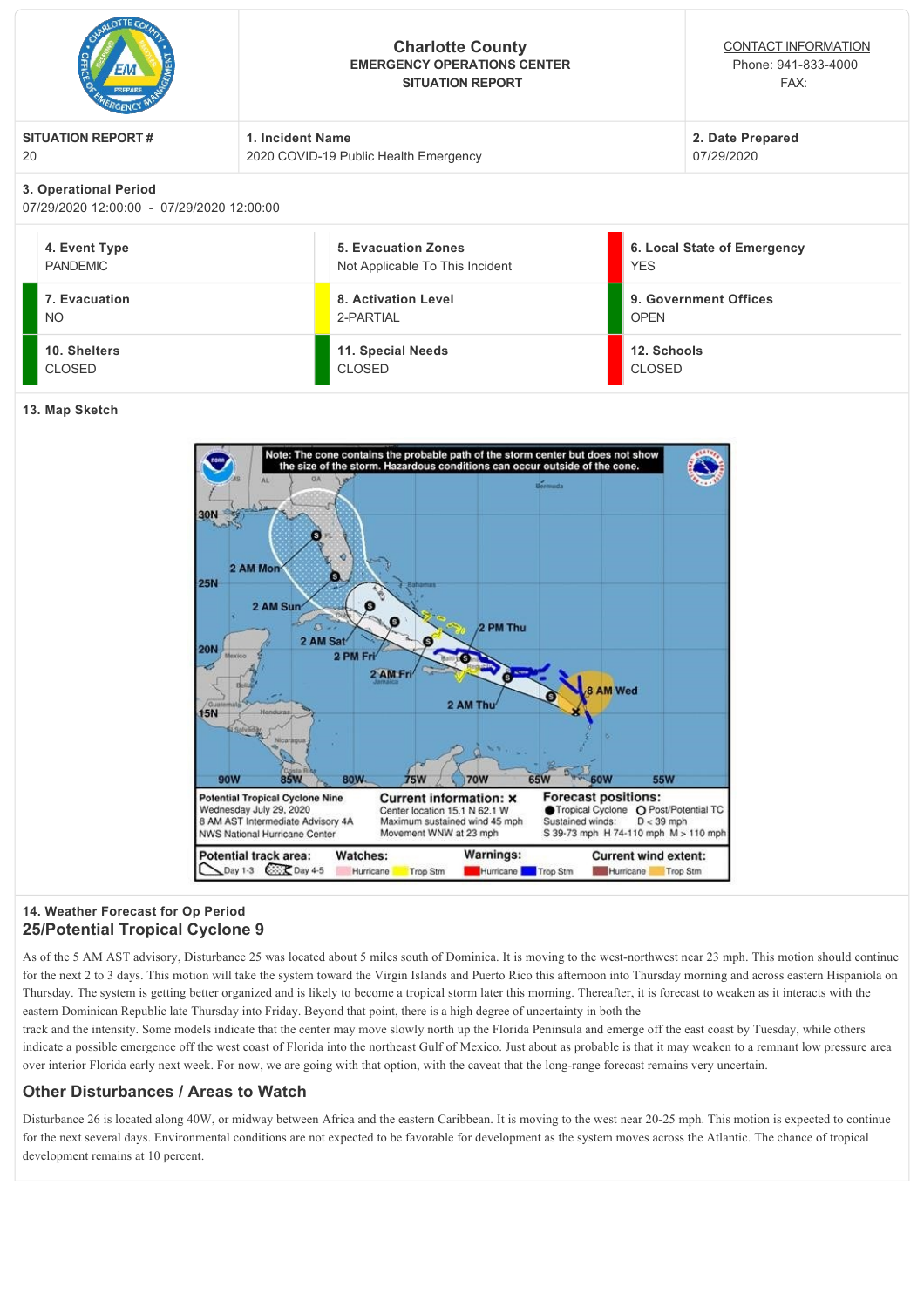| PREPARE                                                            | <b>Charlotte County</b><br><b>EMERGENCY OPERATIONS CENTER</b><br><b>SITUATION REPORT</b> | CONTACT INFORMATION<br>Phone: 941-833-4000<br>FAX: |  |  |  |
|--------------------------------------------------------------------|------------------------------------------------------------------------------------------|----------------------------------------------------|--|--|--|
| <b>SITUATION REPORT#</b>                                           | 1. Incident Name                                                                         | 2. Date Prepared                                   |  |  |  |
| 20                                                                 | 2020 COVID-19 Public Health Emergency                                                    | 07/29/2020                                         |  |  |  |
| 3. Operational Period<br>07/29/2020 12:00:00 - 07/29/2020 12:00:00 |                                                                                          |                                                    |  |  |  |
| 4. Event Type                                                      | 5. Evacuation Zones                                                                      | 6. Local State of Emergency                        |  |  |  |
| <b>PANDEMIC</b>                                                    | Not Applicable To This Incident                                                          | <b>YES</b>                                         |  |  |  |

**9. Government Offices**

|                | <b>NO</b>                     | 2-PARTIAL                   | <b>OPEN</b>                  |  |  |
|----------------|-------------------------------|-----------------------------|------------------------------|--|--|
|                | 10. Shelters<br><b>CLOSED</b> | 11. Special Needs<br>CLOSED | 12. Schools<br><b>CLOSED</b> |  |  |
| 13. Map Sketch |                               |                             |                              |  |  |

**8. Activation Level**



## **14. Weather Forecast for Op Period 25/Potential Tropical Cyclone 9**

**7. Evacuation**

As of the 5 AM AST advisory, Disturbance 25 was located about 5 miles south of Dominica. It is moving to the west-northwest near 23 mph. This motion should continue for the next 2 to 3 days. This motion will take the system toward the Virgin Islands and Puerto Rico this afternoon into Thursday morning and across eastern Hispaniola on Thursday. The system is getting better organized and is likely to become a tropical storm later this morning. Thereafter, it is forecast to weaken as it interacts with the eastern Dominican Republic late Thursday into Friday. Beyond that point, there is a high degree of uncertainty in both the

track and the intensity. Some models indicate that the center may move slowly north up the Florida Peninsula and emerge off the east coast by Tuesday, while others indicate a possible emergence off the west coast of Florida into the northeast Gulf of Mexico. Just about as probable is that it may weaken to a remnant low pressure area over interior Florida early next week. For now, we are going with that option, with the caveat that the longrange forecast remains very uncertain.

## **Other Disturbances / Areas to Watch**

Disturbance 26 is located along 40W, or midway between Africa and the eastern Caribbean. It is moving to the west near 2025 mph. This motion is expected to continue for the next several days. Environmental conditions are not expected to be favorable for development as the system moves across the Atlantic. The chance of tropical development remains at 10 percent.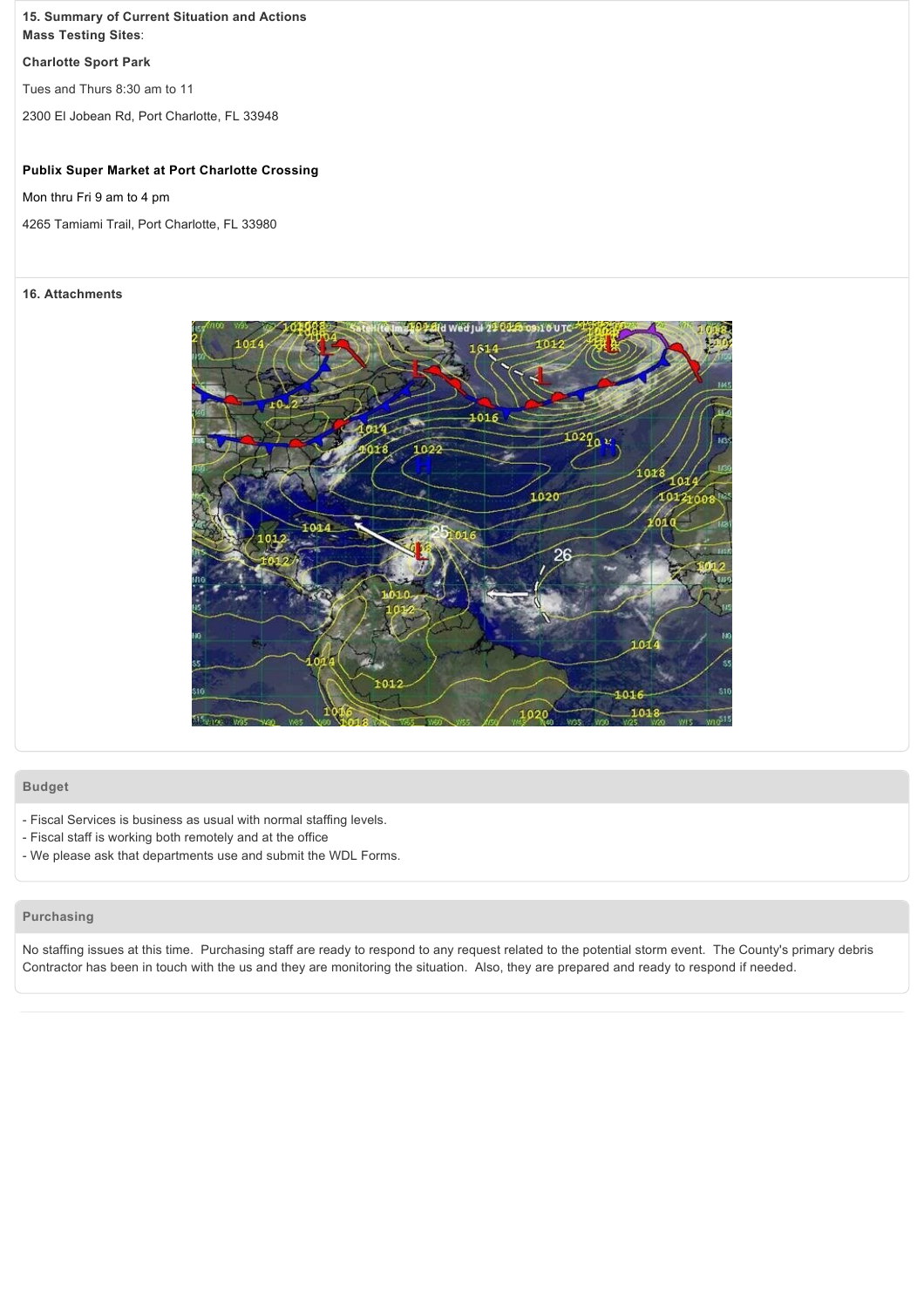#### **15. Summary of Current Situation and Actions Mass Testing Sites**:

#### **Charlotte Sport Park**

Tues and Thurs 8:30 am to 11

2300 El Jobean Rd, Port Charlotte, FL 33948

#### **Publix Super Market at Port Charlotte Crossing**

Mon thru Fri 9 am to 4 pm

4265 Tamiami Trail, Port Charlotte, FL 33980

#### **16. Attachments**



#### **Budget**

- Fiscal Services is business as usual with normal staffing levels.
- Fiscal staff is working both remotely and at the office
- We please ask that departments use and submit the WDL Forms.

## **Purchasing**

No staffing issues at this time. Purchasing staff are ready to respond to any request related to the potential storm event. The County's primary debris Contractor has been in touch with the us and they are monitoring the situation. Also, they are prepared and ready to respond if needed.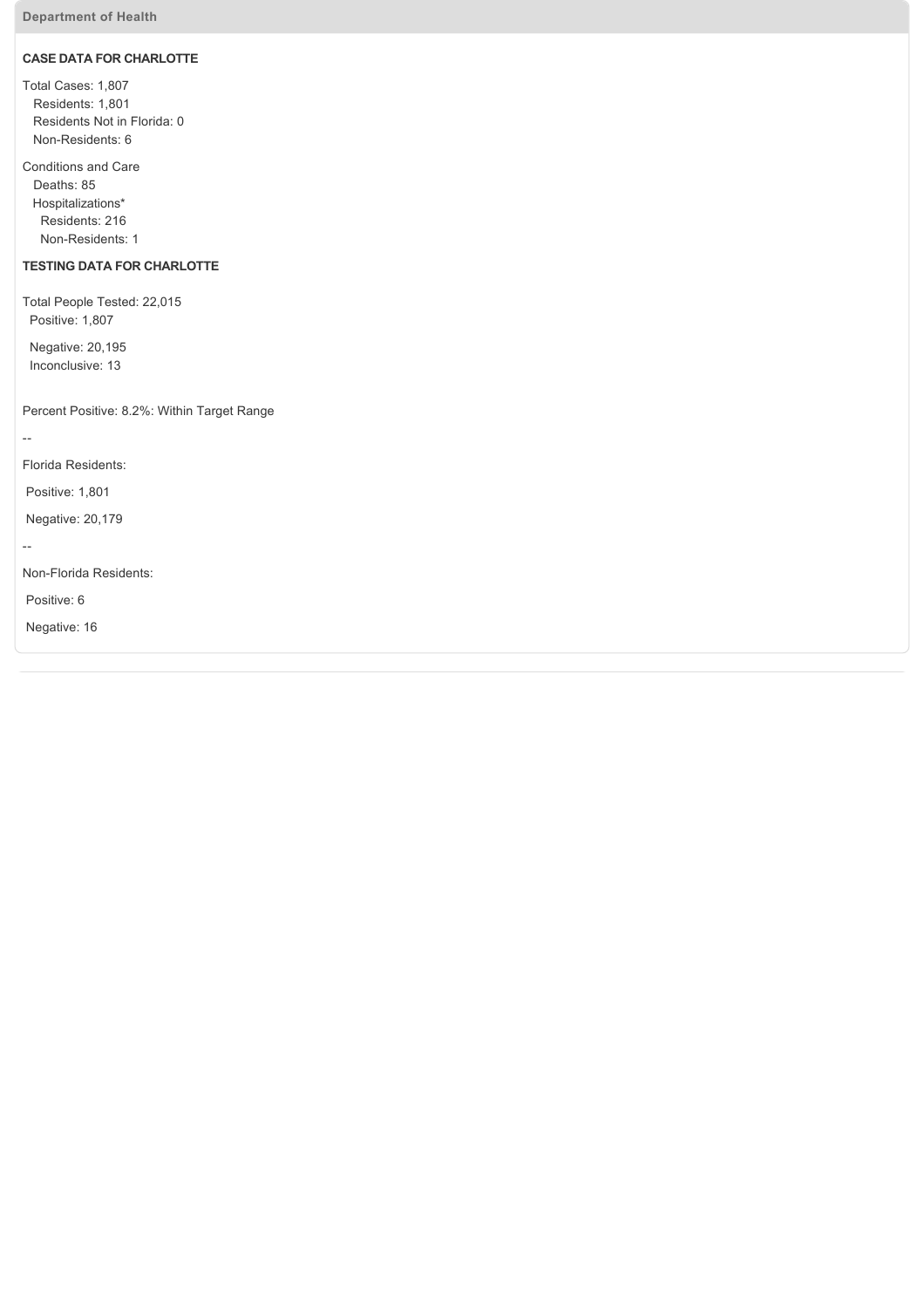## **CASE DATA FOR CHARLOTTE**

Total Cases: 1,807 Residents: 1,801 Residents Not in Florida: 0 Non-Residents: 6

Conditions and Care Deaths: 85 Hospitalizations\* Residents: 216 Non-Residents: 1

## **TESTING DATA FOR CHARLOTTE**

Total People Tested: 22,015 Positive: 1,807

 Negative: 20,195 Inconclusive: 13

Percent Positive: 8.2%: Within Target Range

 $\mathbb{L}^2$ 

Florida Residents:

Positive: 1,801

Negative: 20,179

 $\mathbb{L}^2$ 

Non-Florida Residents:

Positive: 6

Negative: 16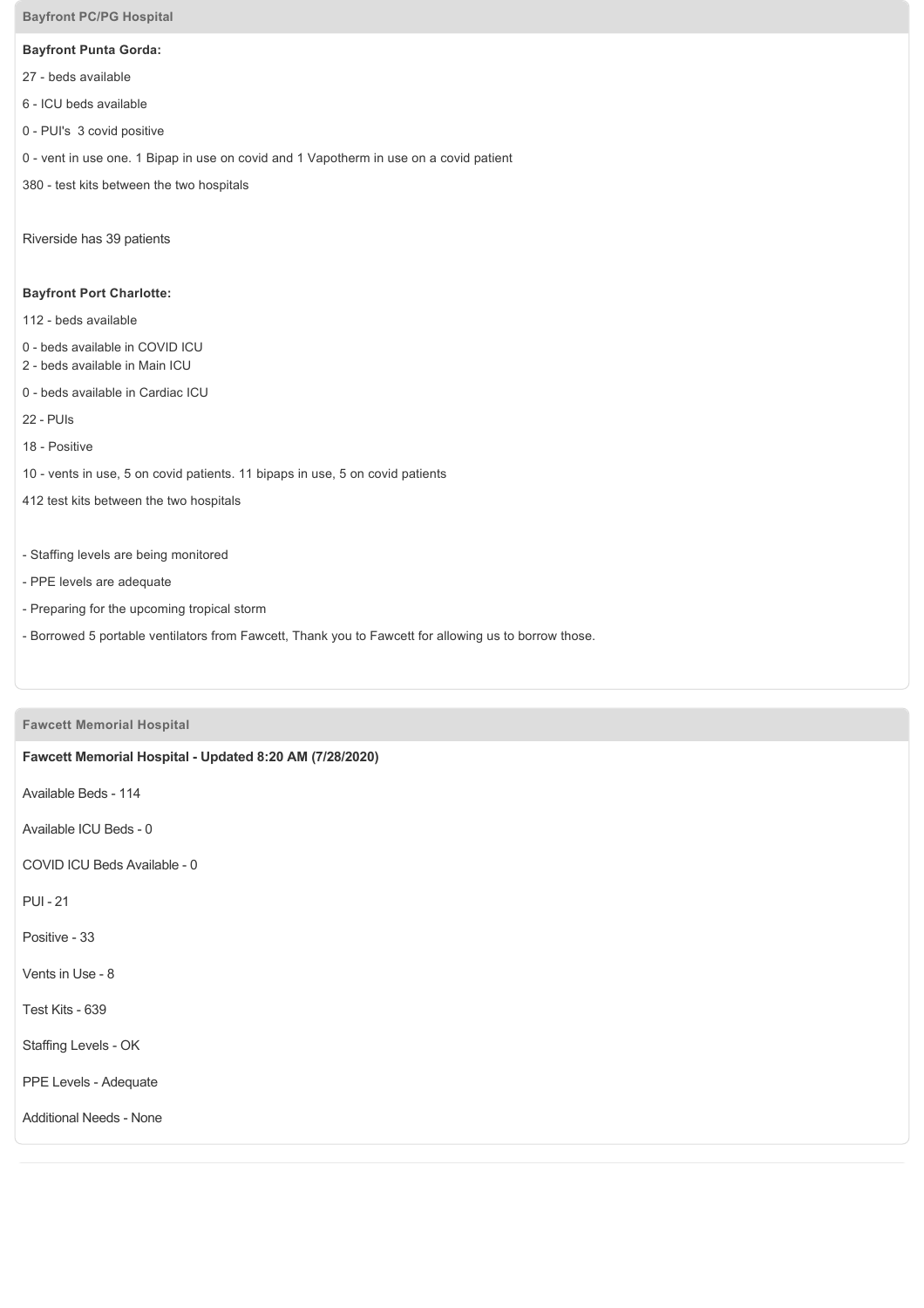#### **Bayfront PC/PG Hospital**

## **Bayfront Punta Gorda:**

- 27 beds available
- 6 ICU beds available
- 0 PUI's 3 covid positive
- 0 vent in use one. 1 Bipap in use on covid and 1 Vapotherm in use on a covid patient
- 380 test kits between the two hospitals

Riverside has 39 patients

## **Bayfront Port Charlotte:**

- 112 beds available
- 0 beds available in COVID ICU
- 2 beds available in Main ICU
- 0 beds available in Cardiac ICU
- 22 PUIs
- 18 Positive
- 10 vents in use, 5 on covid patients. 11 bipaps in use, 5 on covid patients
- 412 test kits between the two hospitals
- Staffing levels are being monitored
- PPE levels are adequate
- Preparing for the upcoming tropical storm
- Borrowed 5 portable ventilators from Fawcett, Thank you to Fawcett for allowing us to borrow those.

## **Fawcett Memorial Hospital**

# **Fawcett Memorial Hospital Updated 8:20 AM (7/28/2020)**

Available Beds - 114

Available ICU Beds - 0

COVID ICU Beds Available - 0

**PUI - 21** 

Positive - 33

Vents in Use - 8

Test Kits - 639

Staffing Levels - OK

PPE Levels - Adequate

Additional Needs - None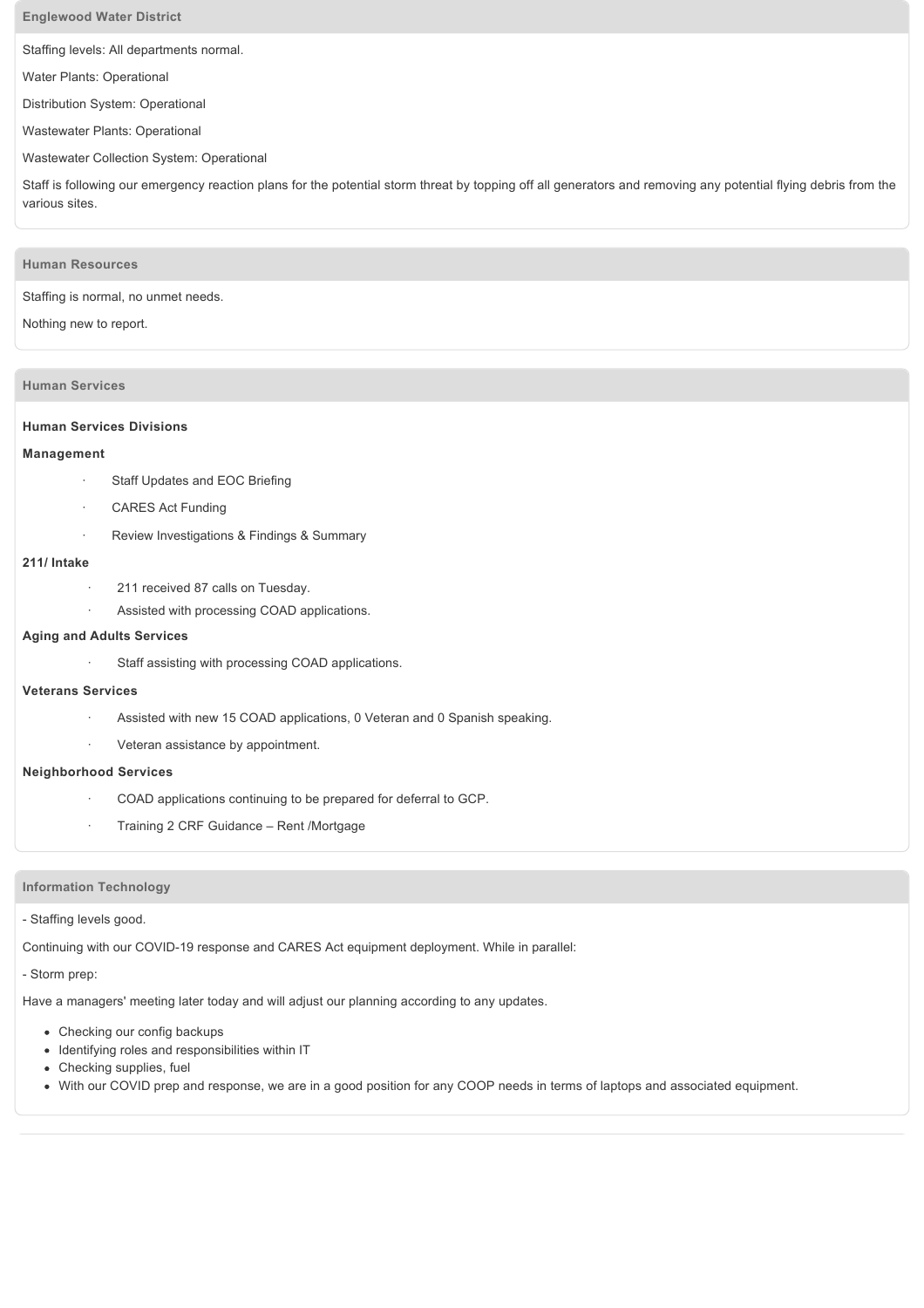#### **Englewood Water District**

Staffing levels: All departments normal.

Water Plants: Operational

Distribution System: Operational

Wastewater Plants: Operational

#### Wastewater Collection System: Operational

Staff is following our emergency reaction plans for the potential storm threat by topping off all generators and removing any potential flying debris from the various sites.

#### **Human Resources**

Staffing is normal, no unmet needs.

#### Nothing new to report.

### **Human Services**

#### **Human Services Divisions**

#### **Management**

- Staff Updates and EOC Briefing
- CARES Act Funding
- Review Investigations & Findings & Summary

#### **211/ Intake**

- 211 received 87 calls on Tuesday.
- Assisted with processing COAD applications.

#### **Aging and Adults Services**

Staff assisting with processing COAD applications.

#### **Veterans Services**

- Assisted with new 15 COAD applications, 0 Veteran and 0 Spanish speaking.
- · Veteran assistance by appointment.

#### **Neighborhood Services**

- COAD applications continuing to be prepared for deferral to GCP.
- · Training 2 CRF Guidance Rent /Mortgage

#### **Information Technology**

#### - Staffing levels good.

Continuing with our COVID-19 response and CARES Act equipment deployment. While in parallel:

- Storm prep:

Have a managers' meeting later today and will adjust our planning according to any updates.

- Checking our config backups
- Identifying roles and responsibilities within IT
- Checking supplies, fuel
- With our COVID prep and response, we are in a good position for any COOP needs in terms of laptops and associated equipment.